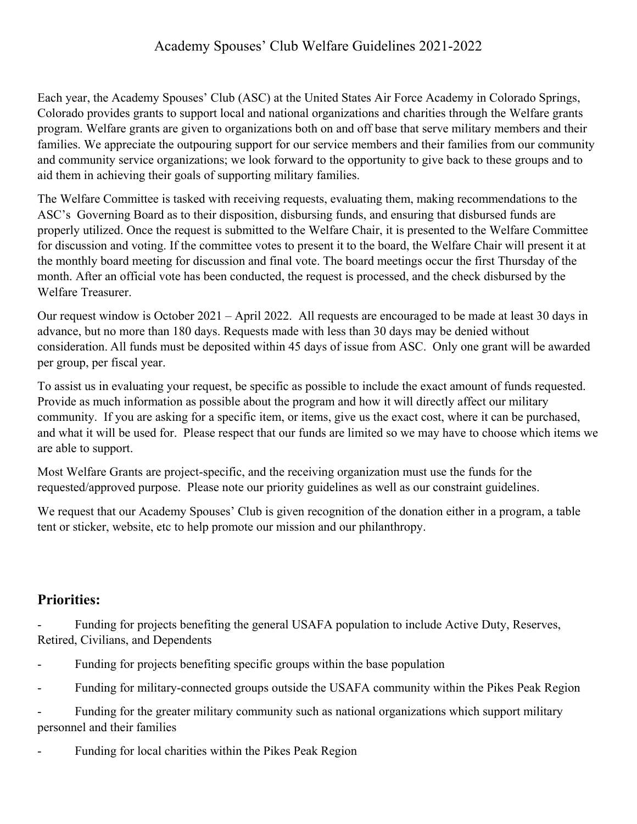## Academy Spouses' Club Welfare Guidelines 2021-2022

Each year, the Academy Spouses' Club (ASC) at the United States Air Force Academy in Colorado Springs, Colorado provides grants to support local and national organizations and charities through the Welfare grants program. Welfare grants are given to organizations both on and off base that serve military members and their families. We appreciate the outpouring support for our service members and their families from our community and community service organizations; we look forward to the opportunity to give back to these groups and to aid them in achieving their goals of supporting military families.

The Welfare Committee is tasked with receiving requests, evaluating them, making recommendations to the ASC's Governing Board as to their disposition, disbursing funds, and ensuring that disbursed funds are properly utilized. Once the request is submitted to the Welfare Chair, it is presented to the Welfare Committee for discussion and voting. If the committee votes to present it to the board, the Welfare Chair will present it at the monthly board meeting for discussion and final vote. The board meetings occur the first Thursday of the month. After an official vote has been conducted, the request is processed, and the check disbursed by the Welfare Treasurer.

Our request window is October 2021 – April 2022. All requests are encouraged to be made at least 30 days in advance, but no more than 180 days. Requests made with less than 30 days may be denied without consideration. All funds must be deposited within 45 days of issue from ASC. Only one grant will be awarded per group, per fiscal year.

To assist us in evaluating your request, be specific as possible to include the exact amount of funds requested. Provide as much information as possible about the program and how it will directly affect our military community. If you are asking for a specific item, or items, give us the exact cost, where it can be purchased, and what it will be used for. Please respect that our funds are limited so we may have to choose which items we are able to support.

Most Welfare Grants are project-specific, and the receiving organization must use the funds for the requested/approved purpose. Please note our priority guidelines as well as our constraint guidelines.

We request that our Academy Spouses' Club is given recognition of the donation either in a program, a table tent or sticker, website, etc to help promote our mission and our philanthropy.

## **Priorities:**

Funding for projects benefiting the general USAFA population to include Active Duty, Reserves, Retired, Civilians, and Dependents

- Funding for projects benefiting specific groups within the base population
- Funding for military-connected groups outside the USAFA community within the Pikes Peak Region

- Funding for the greater military community such as national organizations which support military personnel and their families

Funding for local charities within the Pikes Peak Region